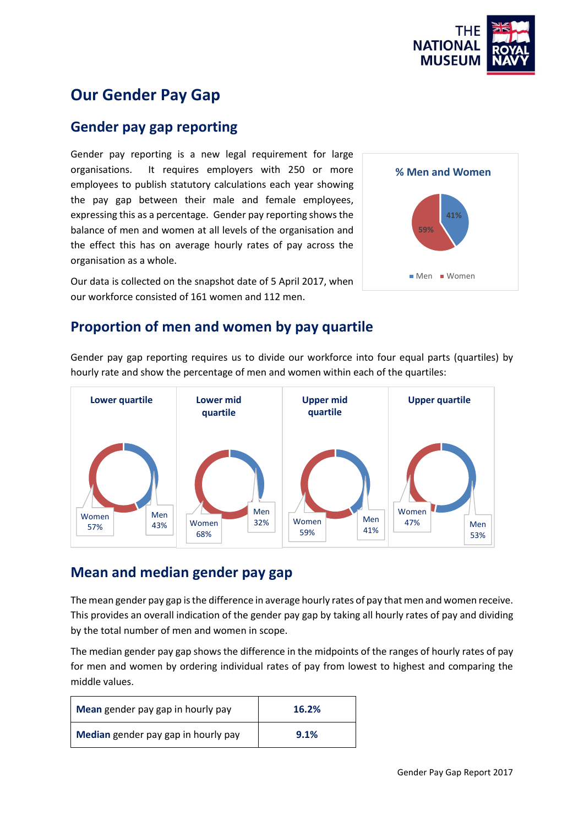

# **Our Gender Pay Gap**

### **Gender pay gap reporting**

Gender pay reporting is a new legal requirement for large organisations. It requires employers with 250 or more employees to publish statutory calculations each year showing the pay gap between their male and female employees, expressing this as a percentage. Gender pay reporting shows the balance of men and women at all levels of the organisation and the effect this has on average hourly rates of pay across the organisation as a whole.

Our data is collected on the snapshot date of 5 April 2017, when our workforce consisted of 161 women and 112 men.



### **Proportion of men and women by pay quartile**

Gender pay gap reporting requires us to divide our workforce into four equal parts (quartiles) by hourly rate and show the percentage of men and women within each of the quartiles:



# **Mean and median gender pay gap**

The mean gender pay gap is the difference in average hourly rates of pay that men and women receive. This provides an overall indication of the gender pay gap by taking all hourly rates of pay and dividing by the total number of men and women in scope.

The median gender pay gap shows the difference in the midpoints of the ranges of hourly rates of pay for men and women by ordering individual rates of pay from lowest to highest and comparing the middle values.

| Mean gender pay gap in hourly pay   | 16.2% |
|-------------------------------------|-------|
| Median gender pay gap in hourly pay | 9.1%  |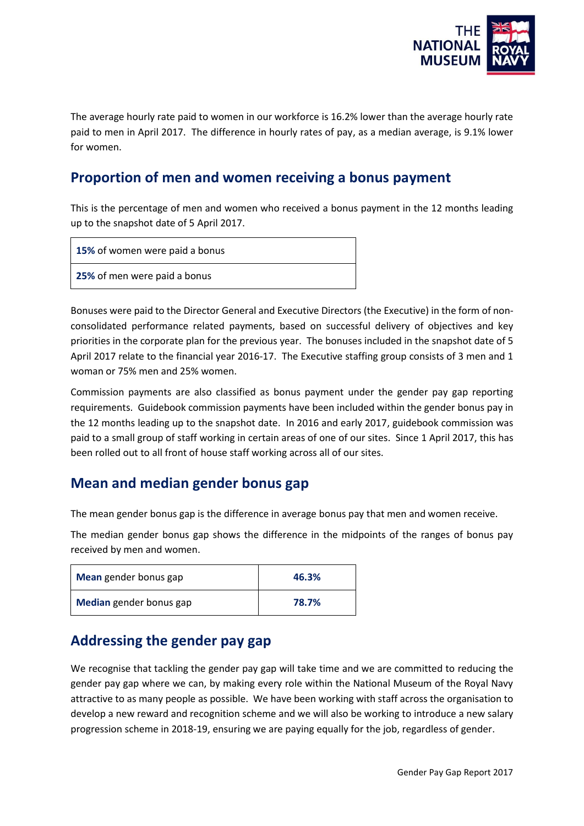

The average hourly rate paid to women in our workforce is 16.2% lower than the average hourly rate paid to men in April 2017. The difference in hourly rates of pay, as a median average, is 9.1% lower for women.

# **Proportion of men and women receiving a bonus payment**

This is the percentage of men and women who received a bonus payment in the 12 months leading up to the snapshot date of 5 April 2017.

**15%** of women were paid a bonus

**25%** of men were paid a bonus

Bonuses were paid to the Director General and Executive Directors (the Executive) in the form of nonconsolidated performance related payments, based on successful delivery of objectives and key priorities in the corporate plan for the previous year. The bonuses included in the snapshot date of 5 April 2017 relate to the financial year 2016-17. The Executive staffing group consists of 3 men and 1 woman or 75% men and 25% women.

Commission payments are also classified as bonus payment under the gender pay gap reporting requirements. Guidebook commission payments have been included within the gender bonus pay in the 12 months leading up to the snapshot date. In 2016 and early 2017, guidebook commission was paid to a small group of staff working in certain areas of one of our sites. Since 1 April 2017, this has been rolled out to all front of house staff working across all of our sites.

#### **Mean and median gender bonus gap**

The mean gender bonus gap is the difference in average bonus pay that men and women receive.

The median gender bonus gap shows the difference in the midpoints of the ranges of bonus pay received by men and women.

| Mean gender bonus gap   | 46.3% |
|-------------------------|-------|
| Median gender bonus gap | 78.7% |

## **Addressing the gender pay gap**

We recognise that tackling the gender pay gap will take time and we are committed to reducing the gender pay gap where we can, by making every role within the National Museum of the Royal Navy attractive to as many people as possible. We have been working with staff across the organisation to develop a new reward and recognition scheme and we will also be working to introduce a new salary progression scheme in 2018-19, ensuring we are paying equally for the job, regardless of gender.